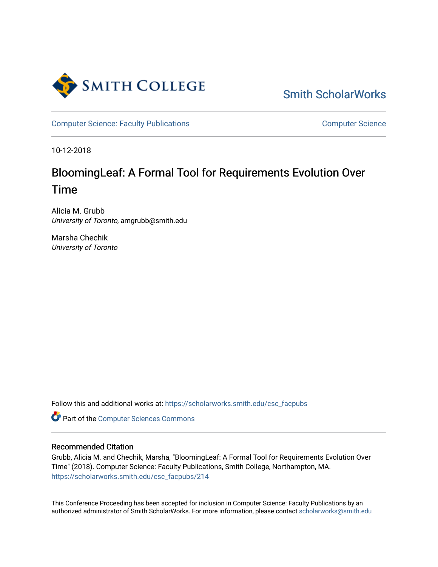

[Smith ScholarWorks](https://scholarworks.smith.edu/) 

[Computer Science: Faculty Publications](https://scholarworks.smith.edu/csc_facpubs) [Computer Science](https://scholarworks.smith.edu/csc) Computer Science

10-12-2018

## BloomingLeaf: A Formal Tool for Requirements Evolution Over Time

Alicia M. Grubb University of Toronto, amgrubb@smith.edu

Marsha Chechik University of Toronto

Follow this and additional works at: [https://scholarworks.smith.edu/csc\\_facpubs](https://scholarworks.smith.edu/csc_facpubs?utm_source=scholarworks.smith.edu%2Fcsc_facpubs%2F214&utm_medium=PDF&utm_campaign=PDFCoverPages)

Part of the [Computer Sciences Commons](http://network.bepress.com/hgg/discipline/142?utm_source=scholarworks.smith.edu%2Fcsc_facpubs%2F214&utm_medium=PDF&utm_campaign=PDFCoverPages)

### Recommended Citation

Grubb, Alicia M. and Chechik, Marsha, "BloomingLeaf: A Formal Tool for Requirements Evolution Over Time" (2018). Computer Science: Faculty Publications, Smith College, Northampton, MA. [https://scholarworks.smith.edu/csc\\_facpubs/214](https://scholarworks.smith.edu/csc_facpubs/214?utm_source=scholarworks.smith.edu%2Fcsc_facpubs%2F214&utm_medium=PDF&utm_campaign=PDFCoverPages)

This Conference Proceeding has been accepted for inclusion in Computer Science: Faculty Publications by an authorized administrator of Smith ScholarWorks. For more information, please contact [scholarworks@smith.edu](mailto:scholarworks@smith.edu)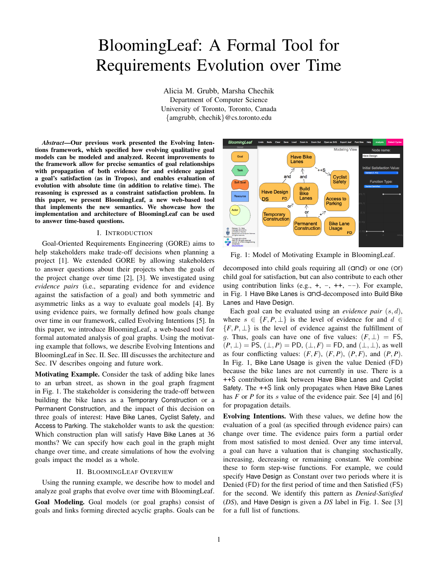# BloomingLeaf: A Formal Tool for Requirements Evolution over Time

Alicia M. Grubb, Marsha Chechik Department of Computer Science University of Toronto, Toronto, Canada {amgrubb, chechik}@cs.toronto.edu

*Abstract*—Our previous work presented the Evolving Intentions framework, which specified how evolving qualitative goal models can be modeled and analyzed. Recent improvements to the framework allow for precise semantics of goal relationships with propagation of both evidence for and evidence against a goal's satisfaction (as in Tropos), and enables evaluation of evolution with absolute time (in addition to relative time). The reasoning is expressed as a constraint satisfaction problem. In this paper, we present BloomingLeaf, a new web-based tool that implements the new semantics. We showcase how the implementation and architecture of BloomingLeaf can be used to answer time-based questions.

#### I. INTRODUCTION

Goal-Oriented Requirements Engineering (GORE) aims to help stakeholders make trade-off decisions when planning a project [1]. We extended GORE by allowing stakeholders to answer questions about their projects when the goals of the project change over time [2], [3]. We investigated using *evidence pairs* (i.e., separating evidence for and evidence against the satisfaction of a goal) and both symmetric and asymmetric links as a way to evaluate goal models [4]. By using evidence pairs, we formally defined how goals change over time in our framework, called Evolving Intentions [5]. In this paper, we introduce BloomingLeaf, a web-based tool for formal automated analysis of goal graphs. Using the motivating example that follows, we describe Evolving Intentions and BloomingLeaf in Sec. II. Sec. III discusses the architecture and Sec. IV describes ongoing and future work.

Motivating Example. Consider the task of adding bike lanes to an urban street, as shown in the goal graph fragment in Fig. 1. The stakeholder is considering the trade-off between building the bike lanes as a Temporary Construction or a Permanent Construction, and the impact of this decision on three goals of interest: Have Bike Lanes, Cyclist Safety, and Access to Parking. The stakeholder wants to ask the question: Which construction plan will satisfy Have Bike Lanes at 36 months? We can specify how each goal in the graph might change over time, and create simulations of how the evolving goals impact the model as a whole.

#### II. BLOOMINGLEAF OVERVIEW

Using the running example, we describe how to model and analyze goal graphs that evolve over time with BloomingLeaf. Goal Modeling. Goal models (or goal graphs) consist of goals and links forming directed acyclic graphs. Goals can be



Fig. 1: Model of Motivating Example in BloomingLeaf.

decomposed into child goals requiring all (and) or one (or) child goal for satisfaction, but can also contribute to each other using contribution links (e.g.,  $+, -, ++, -$ ). For example, in Fig. 1 Have Bike Lanes is  $C$ nd-decomposed into Build Bike Lanes and Have Design.

Each goal can be evaluated using an *evidence pair*  $(s, d)$ , where  $s \in \{F, P, \perp\}$  is the level of evidence for and  $d \in$  ${F, P, \perp}$  is the level of evidence against the fulfillment of g. Thus, goals can have one of five values:  $(F, \perp) = FS$ ,  $(P, \perp)$  = PS,  $(\perp, P)$  = PD,  $(\perp, F)$  = FD, and  $(\perp, \perp)$ , as well as four conflicting values:  $(F, F)$ ,  $(F, P)$ ,  $(F, F)$ , and  $(F, P)$ . In Fig. 1, Bike Lane Usage is given the value Denied (FD) because the bike lanes are not currently in use. There is a ++S contribution link between Have Bike Lanes and Cyclist Safety. The ++S link only propagates when Have Bike Lanes has *F* or *P* for its *s* value of the evidence pair. See [4] and [6] for propagation details.

Evolving Intentions. With these values, we define how the evaluation of a goal (as specified through evidence pairs) can change over time. The evidence pairs form a partial order from most satisfied to most denied. Over any time interval, a goal can have a valuation that is changing stochastically, increasing, decreasing or remaining constant. We combine these to form step-wise functions. For example, we could specify Have Design as Constant over two periods where it is Denied (FD) for the first period of time and then Satisfied (FS) for the second. We identify this pattern as *Denied-Satisfied* (*DS*), and Have Design is given a *DS* label in Fig. 1. See [3] for a full list of functions.